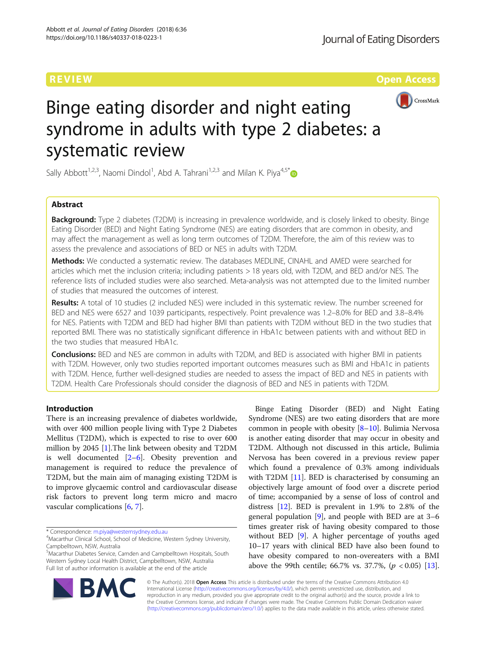**REVIEW CONTROL** CONTROL CONTROL CONTROL CONTROL CONTROL CONTROL CONTROL CONTROL CONTROL CONTROL CONTROL CONTROL CONTROL CONTROL CONTROL CONTROL CONTROL CONTROL CONTROL CONTROL CONTROL CONTROL CONTROL CONTROL CONTROL CONTR



# Binge eating disorder and night eating syndrome in adults with type 2 diabetes: a systematic review

Sally Abbott<sup>1,2,3</sup>, Naomi Dindol<sup>1</sup>, Abd A. Tahrani<sup>1,2,3</sup> and Milan K. Piya<sup>4,5\*</sup>

# Abstract

**Background:** Type 2 diabetes (T2DM) is increasing in prevalence worldwide, and is closely linked to obesity. Binge Eating Disorder (BED) and Night Eating Syndrome (NES) are eating disorders that are common in obesity, and may affect the management as well as long term outcomes of T2DM. Therefore, the aim of this review was to assess the prevalence and associations of BED or NES in adults with T2DM.

Methods: We conducted a systematic review. The databases MEDLINE, CINAHL and AMED were searched for articles which met the inclusion criteria; including patients > 18 years old, with T2DM, and BED and/or NES. The reference lists of included studies were also searched. Meta-analysis was not attempted due to the limited number of studies that measured the outcomes of interest.

Results: A total of 10 studies (2 included NES) were included in this systematic review. The number screened for BED and NES were 6527 and 1039 participants, respectively. Point prevalence was 1.2–8.0% for BED and 3.8–8.4% for NES. Patients with T2DM and BED had higher BMI than patients with T2DM without BED in the two studies that reported BMI. There was no statistically significant difference in HbA1c between patients with and without BED in the two studies that measured HbA1c.

**Conclusions:** BED and NES are common in adults with T2DM, and BED is associated with higher BMI in patients with T2DM. However, only two studies reported important outcomes measures such as BMI and HbA1c in patients with T2DM. Hence, further well-designed studies are needed to assess the impact of BED and NES in patients with T2DM. Health Care Professionals should consider the diagnosis of BED and NES in patients with T2DM.

# Introduction

There is an increasing prevalence of diabetes worldwide, with over 400 million people living with Type 2 Diabetes Mellitus (T2DM), which is expected to rise to over 600 million by 2045 [[1](#page-6-0)].The link between obesity and T2DM is well documented [\[2](#page-6-0)–[6](#page-6-0)]. Obesity prevention and management is required to reduce the prevalence of T2DM, but the main aim of managing existing T2DM is to improve glycaemic control and cardiovascular disease risk factors to prevent long term micro and macro vascular complications [[6,](#page-6-0) [7\]](#page-6-0).

\* Correspondence: [m.piya@westernsydney.edu.au](mailto:m.piya@westernsydney.edu.au) <sup>4</sup>

<sup>5</sup>Macarthur Diabetes Service, Camden and Campbelltown Hospitals, South Western Sydney Local Health District, Campbelltown, NSW, Australia Full list of author information is available at the end of the article

Binge Eating Disorder (BED) and Night Eating Syndrome (NES) are two eating disorders that are more common in people with obesity  $[8-10]$  $[8-10]$  $[8-10]$ . Bulimia Nervosa is another eating disorder that may occur in obesity and T2DM. Although not discussed in this article, Bulimia Nervosa has been covered in a previous review paper which found a prevalence of 0.3% among individuals with T2DM [[11\]](#page-6-0). BED is characterised by consuming an objectively large amount of food over a discrete period of time; accompanied by a sense of loss of control and distress [\[12\]](#page-6-0). BED is prevalent in 1.9% to 2.8% of the general population  $[9]$  $[9]$ , and people with BED are at 3–6 times greater risk of having obesity compared to those without BED [[9\]](#page-6-0). A higher percentage of youths aged 10–17 years with clinical BED have also been found to have obesity compared to non-overeaters with a BMI above the 99th centile; 66.7% vs. 37.7%,  $(p < 0.05)$  [\[13](#page-7-0)].



© The Author(s). 2018 Open Access This article is distributed under the terms of the Creative Commons Attribution 4.0 International License [\(http://creativecommons.org/licenses/by/4.0/](http://creativecommons.org/licenses/by/4.0/)), which permits unrestricted use, distribution, and reproduction in any medium, provided you give appropriate credit to the original author(s) and the source, provide a link to the Creative Commons license, and indicate if changes were made. The Creative Commons Public Domain Dedication waiver [\(http://creativecommons.org/publicdomain/zero/1.0/](http://creativecommons.org/publicdomain/zero/1.0/)) applies to the data made available in this article, unless otherwise stated.

<sup>&</sup>lt;sup>4</sup>Macarthur Clinical School, School of Medicine, Western Sydney University, Campbelltown, NSW, Australia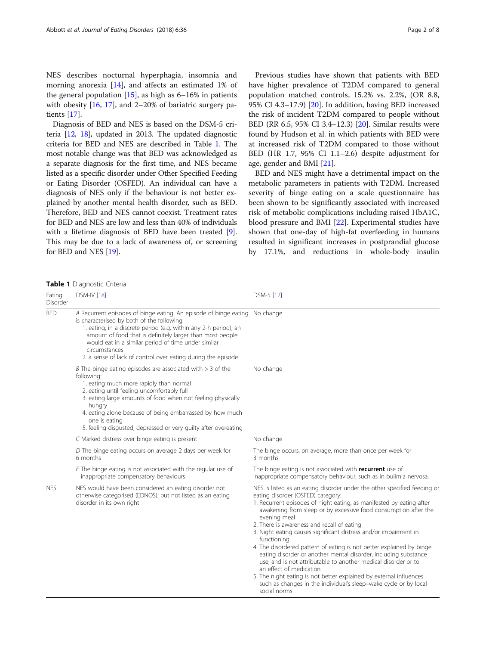NES describes nocturnal hyperphagia, insomnia and morning anorexia [[14](#page-7-0)], and affects an estimated 1% of the general population  $[15]$  $[15]$ , as high as 6–16% in patients with obesity  $[16, 17]$  $[16, 17]$  $[16, 17]$  $[16, 17]$ , and 2–20% of bariatric surgery patients [\[17](#page-7-0)].

Diagnosis of BED and NES is based on the DSM-5 criteria [\[12,](#page-6-0) [18\]](#page-7-0), updated in 2013. The updated diagnostic criteria for BED and NES are described in Table 1. The most notable change was that BED was acknowledged as a separate diagnosis for the first time, and NES became listed as a specific disorder under Other Specified Feeding or Eating Disorder (OSFED). An individual can have a diagnosis of NES only if the behaviour is not better explained by another mental health disorder, such as BED. Therefore, BED and NES cannot coexist. Treatment rates for BED and NES are low and less than 40% of individuals with a lifetime diagnosis of BED have been treated [[9](#page-6-0)]. This may be due to a lack of awareness of, or screening for BED and NES [[19](#page-7-0)].

Previous studies have shown that patients with BED have higher prevalence of T2DM compared to general population matched controls, 15.2% vs. 2.2%, (OR 8.8, 95% CI 4.3–17.9) [\[20\]](#page-7-0). In addition, having BED increased the risk of incident T2DM compared to people without BED (RR 6.5, 95% CI 3.4–12.3) [[20\]](#page-7-0). Similar results were found by Hudson et al. in which patients with BED were at increased risk of T2DM compared to those without BED (HR 1.7, 95% CI 1.1–2.6) despite adjustment for age, gender and BMI [\[21](#page-7-0)].

BED and NES might have a detrimental impact on the metabolic parameters in patients with T2DM. Increased severity of binge eating on a scale questionnaire has been shown to be significantly associated with increased risk of metabolic complications including raised HbA1C, blood pressure and BMI [\[22\]](#page-7-0). Experimental studies have shown that one-day of high-fat overfeeding in humans resulted in significant increases in postprandial glucose by 17.1%, and reductions in whole-body insulin

Table 1 Diagnostic Criteria

| Eating<br>Disorder | <b>DSM-IV</b> [18]                                                                                                                                                                                                                                                                                                                                                                                | DSM-5 [12]                                                                                                                                                                                                                                                                                                                                                                                                                                                                                                                                                                                                                                                                                                                                                                                                  |
|--------------------|---------------------------------------------------------------------------------------------------------------------------------------------------------------------------------------------------------------------------------------------------------------------------------------------------------------------------------------------------------------------------------------------------|-------------------------------------------------------------------------------------------------------------------------------------------------------------------------------------------------------------------------------------------------------------------------------------------------------------------------------------------------------------------------------------------------------------------------------------------------------------------------------------------------------------------------------------------------------------------------------------------------------------------------------------------------------------------------------------------------------------------------------------------------------------------------------------------------------------|
| <b>BED</b>         | A Recurrent episodes of binge eating. An episode of binge eating No change<br>is characterised by both of the following:<br>1. eating, in a discrete period (e.g. within any 2-h period), an<br>amount of food that is definitely larger than most people<br>would eat in a similar period of time under similar<br>circumstances<br>2. a sense of lack of control over eating during the episode |                                                                                                                                                                                                                                                                                                                                                                                                                                                                                                                                                                                                                                                                                                                                                                                                             |
|                    | B The binge eating episodes are associated with $>$ 3 of the<br>following:<br>1. eating much more rapidly than normal<br>2. eating until feeling uncomfortably full<br>3. eating large amounts of food when not feeling physically<br>hungry<br>4. eating alone because of being embarrassed by how much<br>one is eating<br>5. feeling disgusted, depressed or very quilty after overeating      | No change                                                                                                                                                                                                                                                                                                                                                                                                                                                                                                                                                                                                                                                                                                                                                                                                   |
|                    | C Marked distress over binge eating is present                                                                                                                                                                                                                                                                                                                                                    | No change                                                                                                                                                                                                                                                                                                                                                                                                                                                                                                                                                                                                                                                                                                                                                                                                   |
|                    | D The binge eating occurs on average 2 days per week for<br>6 months                                                                                                                                                                                                                                                                                                                              | The binge occurs, on average, more than once per week for<br>3 months                                                                                                                                                                                                                                                                                                                                                                                                                                                                                                                                                                                                                                                                                                                                       |
|                    | $E$ The binge eating is not associated with the regular use of<br>inappropriate compensatory behaviours                                                                                                                                                                                                                                                                                           | The binge eating is not associated with recurrent use of<br>inappropriate compensatory behaviour, such as in bulimia nervosa.                                                                                                                                                                                                                                                                                                                                                                                                                                                                                                                                                                                                                                                                               |
| <b>NES</b>         | NES would have been considered an eating disorder not<br>otherwise categorised (EDNOS); but not listed as an eating<br>disorder in its own right                                                                                                                                                                                                                                                  | NES is listed as an eating disorder under the other specified feeding or<br>eating disorder (OSFED) category:<br>1. Recurrent episodes of night eating, as manifested by eating after<br>awakening from sleep or by excessive food consumption after the<br>evening meal<br>2. There is awareness and recall of eating<br>3. Night eating causes significant distress and/or impairment in<br>functioning<br>4. The disordered pattern of eating is not better explained by binge<br>eating disorder or another mental disorder, including substance<br>use, and is not attributable to another medical disorder or to<br>an effect of medication<br>5. The night eating is not better explained by external influences<br>such as changes in the individual's sleep-wake cycle or by local<br>social norms |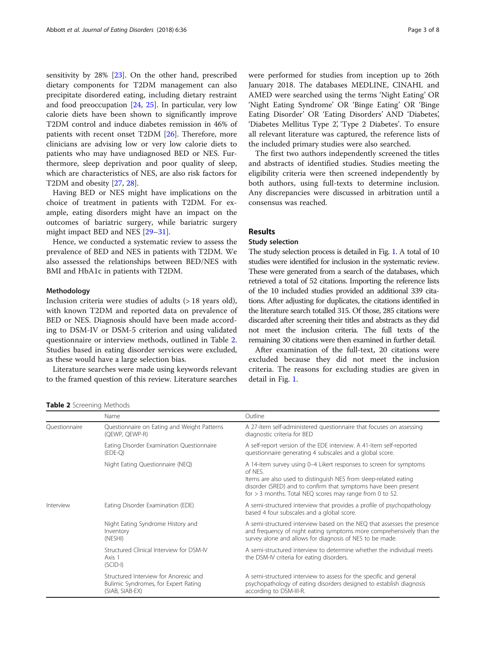sensitivity by 28% [\[23\]](#page-7-0). On the other hand, prescribed dietary components for T2DM management can also precipitate disordered eating, including dietary restraint and food preoccupation [\[24,](#page-7-0) [25\]](#page-7-0). In particular, very low calorie diets have been shown to significantly improve T2DM control and induce diabetes remission in 46% of patients with recent onset T2DM [\[26\]](#page-7-0). Therefore, more clinicians are advising low or very low calorie diets to patients who may have undiagnosed BED or NES. Furthermore, sleep deprivation and poor quality of sleep, which are characteristics of NES, are also risk factors for T2DM and obesity [[27,](#page-7-0) [28\]](#page-7-0).

Having BED or NES might have implications on the choice of treatment in patients with T2DM. For example, eating disorders might have an impact on the outcomes of bariatric surgery, while bariatric surgery might impact BED and NES [\[29](#page-7-0)–[31\]](#page-7-0).

Hence, we conducted a systematic review to assess the prevalence of BED and NES in patients with T2DM. We also assessed the relationships between BED/NES with BMI and HbA1c in patients with T2DM.

#### Methodology

Inclusion criteria were studies of adults (> 18 years old), with known T2DM and reported data on prevalence of BED or NES. Diagnosis should have been made according to DSM-IV or DSM-5 criterion and using validated questionnaire or interview methods, outlined in Table 2. Studies based in eating disorder services were excluded, as these would have a large selection bias.

Literature searches were made using keywords relevant to the framed question of this review. Literature searches

were performed for studies from inception up to 26th January 2018. The databases MEDLINE, CINAHL and AMED were searched using the terms 'Night Eating' OR 'Night Eating Syndrome' OR 'Binge Eating' OR 'Binge Eating Disorder' OR 'Eating Disorders' AND 'Diabetes', 'Diabetes Mellitus Type 2', 'Type 2 Diabetes'. To ensure all relevant literature was captured, the reference lists of the included primary studies were also searched.

The first two authors independently screened the titles and abstracts of identified studies. Studies meeting the eligibility criteria were then screened independently by both authors, using full-texts to determine inclusion. Any discrepancies were discussed in arbitration until a consensus was reached.

# Results

# Study selection

The study selection process is detailed in Fig. [1](#page-3-0). A total of 10 studies were identified for inclusion in the systematic review. These were generated from a search of the databases, which retrieved a total of 52 citations. Importing the reference lists of the 10 included studies provided an additional 339 citations. After adjusting for duplicates, the citations identified in the literature search totalled 315. Of those, 285 citations were discarded after screening their titles and abstracts as they did not meet the inclusion criteria. The full texts of the remaining 30 citations were then examined in further detail.

After examination of the full-text, 20 citations were excluded because they did not meet the inclusion criteria. The reasons for excluding studies are given in detail in Fig. [1](#page-3-0).

Table 2 Screening Methods

|                            | Name                                                                                             | Outline                                                                                                                                                                                                                                                                           |  |  |
|----------------------------|--------------------------------------------------------------------------------------------------|-----------------------------------------------------------------------------------------------------------------------------------------------------------------------------------------------------------------------------------------------------------------------------------|--|--|
| Ouestionnaire<br>Interview | Questionnaire on Eating and Weight Patterns<br>(QEWP, QEWP-R)                                    | A 27-item self-administered questionnaire that focuses on assessing<br>diagnostic criteria for BED                                                                                                                                                                                |  |  |
|                            | Eating Disorder Examination Questionnaire<br>$(EDE-Q)$                                           | A self-report version of the EDE interview. A 41-item self-reported<br>questionnaire generating 4 subscales and a global score.                                                                                                                                                   |  |  |
|                            | Night Eating Questionnaire (NEQ)                                                                 | A 14-item survey using 0-4 Likert responses to screen for symptoms<br>of NFS.<br>Items are also used to distinguish NES from sleep-related eating<br>disorder (SRED) and to confirm that symptoms have been present<br>for $>$ 3 months. Total NEQ scores may range from 0 to 52. |  |  |
|                            | Eating Disorder Examination (EDE)                                                                | A semi-structured interview that provides a profile of psychopathology<br>based 4 four subscales and a global score.                                                                                                                                                              |  |  |
|                            | Night Eating Syndrome History and<br>Inventory<br>(NESHI)                                        | A semi-structured interview based on the NEQ that assesses the presence<br>and frequency of night eating symptoms more comprehensively than the<br>survey alone and allows for diagnosis of NES to be made.                                                                       |  |  |
|                            | Structured Clinical Interview for DSM-IV<br>Axis 1<br>$(SCID-I)$                                 | A semi-structured interview to determine whether the individual meets<br>the DSM-IV criteria for eating disorders.                                                                                                                                                                |  |  |
|                            | Structured Interview for Anorexic and<br>Bulimic Syndromes, for Expert Rating<br>(SIAB, SIAB-EX) | A semi-structured interview to assess for the specific and general<br>psychopathology of eating disorders designed to establish diagnosis<br>according to DSM-III-R.                                                                                                              |  |  |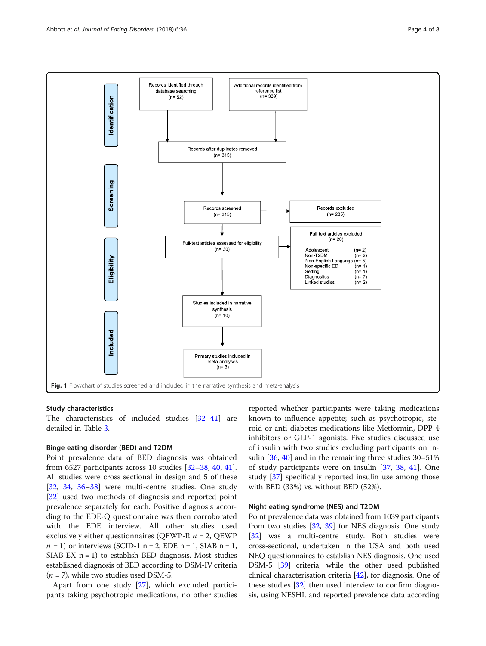<span id="page-3-0"></span>

## Study characteristics

The characteristics of included studies [\[32](#page-7-0)–[41\]](#page-7-0) are detailed in Table [3](#page-4-0).

# Binge eating disorder (BED) and T2DM

Point prevalence data of BED diagnosis was obtained from 6527 participants across 10 studies [\[32](#page-7-0)–[38](#page-7-0), [40](#page-7-0), [41](#page-7-0)]. All studies were cross sectional in design and 5 of these [[32,](#page-7-0) [34](#page-7-0), [36](#page-7-0)–[38](#page-7-0)] were multi-centre studies. One study [[32\]](#page-7-0) used two methods of diagnosis and reported point prevalence separately for each. Positive diagnosis according to the EDE-Q questionnaire was then corroborated with the EDE interview. All other studies used exclusively either questionnaires (QEWP-R  $n = 2$ , QEWP  $n = 1$ ) or interviews (SCID-1 n = 2, EDE n = 1, SIAB n = 1, SIAB-EX  $n = 1$ ) to establish BED diagnosis. Most studies established diagnosis of BED according to DSM-IV criteria  $(n = 7)$ , while two studies used DSM-5.

Apart from one study [\[27](#page-7-0)], which excluded participants taking psychotropic medications, no other studies

reported whether participants were taking medications known to influence appetite; such as psychotropic, steroid or anti-diabetes medications like Metformin, DPP-4 inhibitors or GLP-1 agonists. Five studies discussed use of insulin with two studies excluding participants on insulin [[36](#page-7-0), [40](#page-7-0)] and in the remaining three studies 30–51% of study participants were on insulin [\[37,](#page-7-0) [38](#page-7-0), [41](#page-7-0)]. One study [[37](#page-7-0)] specifically reported insulin use among those with BED (33%) vs. without BED (52%).

# Night eating syndrome (NES) and T2DM

Point prevalence data was obtained from 1039 participants from two studies [\[32,](#page-7-0) [39\]](#page-7-0) for NES diagnosis. One study [[32](#page-7-0)] was a multi-centre study. Both studies were cross-sectional, undertaken in the USA and both used NEQ questionnaires to establish NES diagnosis. One used DSM-5 [[39](#page-7-0)] criteria; while the other used published clinical characterisation criteria [\[42](#page-7-0)], for diagnosis. One of these studies  $[32]$  $[32]$  $[32]$  then used interview to confirm diagnosis, using NESHI, and reported prevalence data according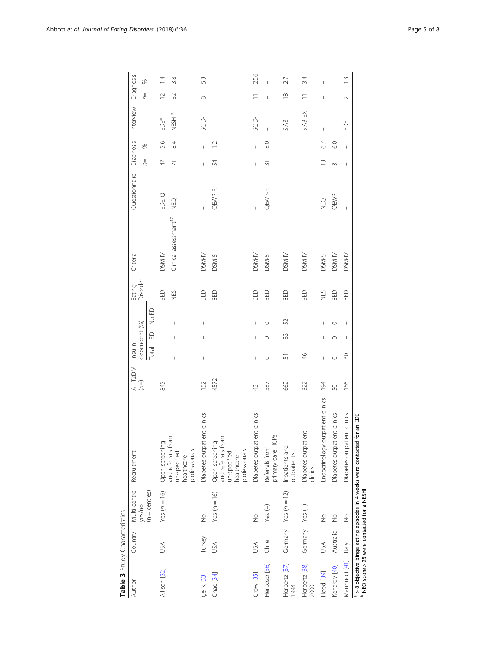| j<br>i<br>a ava atavia               |
|--------------------------------------|
| ・リコード<br>I<br>$\overline{)}$<br>こうりり |
|                                      |

<span id="page-4-0"></span>

| $\sum_{i=1}^{n}$                                       |                 |                        |                                                                                     |                    |                |               |         |                    |                                   |               |                |                                                                                                                                                                                                                                                                                                                                                                                  |                |                                       |                          |
|--------------------------------------------------------|-----------------|------------------------|-------------------------------------------------------------------------------------|--------------------|----------------|---------------|---------|--------------------|-----------------------------------|---------------|----------------|----------------------------------------------------------------------------------------------------------------------------------------------------------------------------------------------------------------------------------------------------------------------------------------------------------------------------------------------------------------------------------|----------------|---------------------------------------|--------------------------|
| Author                                                 | Country         | Multi-centre           | Recruitment                                                                         | All T2DM Insulin-  |                |               |         | Eating<br>Disorder | Criteria                          | Questionnaire | Diagnosis      |                                                                                                                                                                                                                                                                                                                                                                                  | Interview      | Diagnosis                             |                          |
|                                                        |                 | yes/no                 |                                                                                     | $\left( =0\right)$ |                | dependent (%) |         |                    |                                   |               | $\frac{1}{2}$  | ×,                                                                                                                                                                                                                                                                                                                                                                               |                | $\equiv$                              | S,                       |
|                                                        |                 | $(n =$ centres $)$     |                                                                                     |                    | Total          | $\Omega$      | No ED   |                    |                                   |               |                |                                                                                                                                                                                                                                                                                                                                                                                  |                |                                       |                          |
| Allison [32]                                           | USA             | Yes $(n = 16)$         | Open screening                                                                      | 845                |                |               |         | BED                | DSM-N                             | EDE-Q         | $\overline{4}$ | 5.6                                                                                                                                                                                                                                                                                                                                                                              | EDEª           | $\supseteq$                           | $\overline{4}$           |
|                                                        |                 |                        | and referrals from<br>professionals<br>un-specified<br>healthcare                   |                    |                |               | I       | NES                | Clinical assessment <sup>42</sup> | <b>DEO</b>    |                | $\approx$                                                                                                                                                                                                                                                                                                                                                                        | <b>NESHIP</b>  | 32                                    | 3.8                      |
| <b>Çelik</b> [33]                                      | Turkey          | $\frac{1}{2}$          | Diabetes outpatient clinics                                                         | 152                | L              |               | I       | BED                | DSM-N                             | Ī             | Ī              | L                                                                                                                                                                                                                                                                                                                                                                                | <b>NOS</b>     | $^{\circ}$                            | 53                       |
| Chao [34]                                              | USA             | Yes ( $n = 16$ )       | and referrals from<br>Open screening<br>professionals<br>un-specified<br>healthcare | 4572               | $\overline{1}$ |               |         | <b>BED</b>         | DSM-5                             | QEWP-R        | 54             | $\overline{12}$                                                                                                                                                                                                                                                                                                                                                                  | $\overline{1}$ | I                                     | $\overline{\phantom{a}}$ |
| $Crow$ [35]                                            | JSA             | $\frac{1}{2}$          | Diabetes outpatient clinics                                                         | $\frac{4}{3}$      | Ï              | I             | I       | BED                | DSM-N                             | I             | Ï              | I                                                                                                                                                                                                                                                                                                                                                                                | SCID-I         |                                       | 25.6                     |
| Herbozo <sup>[36]</sup>                                | Chile           | Yes $(-)$              | primary care HCPs<br>Referrals from                                                 | 387                | $\circ$        | $\circ$       | $\circ$ | BED                | DSM-5                             | QEWP-R        | ᆕ              | 8.0                                                                                                                                                                                                                                                                                                                                                                              |                | $\begin{array}{c} \hline \end{array}$ | $\overline{1}$           |
| Herpertz [37]<br>1998                                  |                 | Germany Yes $(n = 12)$ | Inpatients and<br>outpatients                                                       | 662                | 51             | 33            | 52      | BED                | DSM-N                             |               |                | $\begin{array}{c} \rule{0pt}{2.5ex} \rule{0pt}{2.5ex} \rule{0pt}{2.5ex} \rule{0pt}{2.5ex} \rule{0pt}{2.5ex} \rule{0pt}{2.5ex} \rule{0pt}{2.5ex} \rule{0pt}{2.5ex} \rule{0pt}{2.5ex} \rule{0pt}{2.5ex} \rule{0pt}{2.5ex} \rule{0pt}{2.5ex} \rule{0pt}{2.5ex} \rule{0pt}{2.5ex} \rule{0pt}{2.5ex} \rule{0pt}{2.5ex} \rule{0pt}{2.5ex} \rule{0pt}{2.5ex} \rule{0pt}{2.5ex} \rule{0$ | <b>SIAB</b>    | $\frac{8}{10}$                        | 27                       |
| Herpertz [38]<br>2000                                  | Germany Yes (-) |                        | Diabetes outpatient<br>clinics                                                      | 322                | $\frac{4}{6}$  | I             | I       | BED                | DSM-N                             | Ï             | Ï              | I                                                                                                                                                                                                                                                                                                                                                                                | SIAB-EX        | $\equiv$                              | 34                       |
| Hood [39]                                              | USA             | $\frac{1}{2}$          | Endocrinology outpatient clinics                                                    | 194                | I              | I             | I       | NES                | DSM-5                             | <b>DEO</b>    | $\tilde{=}$    | 67                                                                                                                                                                                                                                                                                                                                                                               | $\overline{1}$ | I                                     | $\overline{1}$           |
| Kenardy [40]                                           | Australia       | $\frac{1}{2}$          | Diabetes outpatient clinics                                                         | 50                 | $\circ$        | $\circ$       | $\circ$ | BED                | DSM-N                             | QEWP          | $\infty$       | 6.0                                                                                                                                                                                                                                                                                                                                                                              | Ï              | I                                     |                          |
| Mannucci [41] Italy                                    |                 | $\frac{1}{2}$          | Diabetes outpatient clinics                                                         | 156                | 30             | I             | I       | BED                | DSM-N                             | $\mathbf{I}$  | $\mathbf{I}$   | $\mathsf I$                                                                                                                                                                                                                                                                                                                                                                      | EDE            | $\sim$                                | $\frac{3}{2}$            |
| <sup>b</sup> NEQ score > 25 were contacted for a NESHI |                 |                        | a > 8 objective binge eating episodes in 4 weeks were contacted for an EDE          |                    |                |               |         |                    |                                   |               |                |                                                                                                                                                                                                                                                                                                                                                                                  |                |                                       |                          |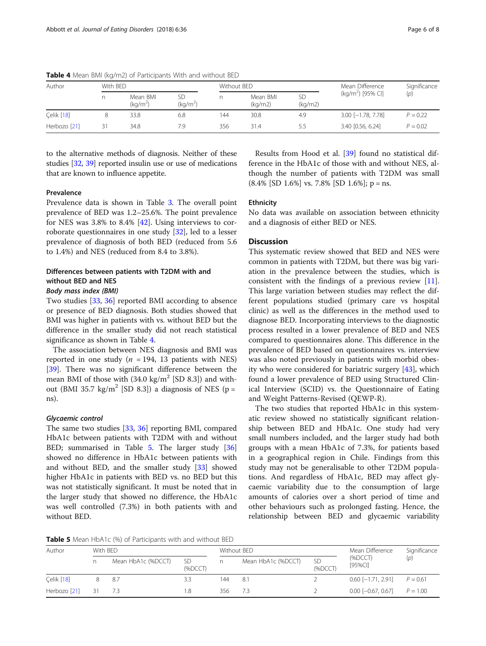| Author       | With BFD |                                  |                            | Without BFD |                     |               | Mean Difference               | Significance |
|--------------|----------|----------------------------------|----------------------------|-------------|---------------------|---------------|-------------------------------|--------------|
|              |          | Mean BMI<br>(kq/m <sup>2</sup> ) | SD<br>(kg/m <sup>2</sup> ) |             | Mean BMI<br>(kq/m2) | SD<br>(kq/m2) | (kg/m <sup>2</sup> ) [95% CI] | (p)          |
| Celik [18]   |          | 33.8                             | 6.8                        | 144         | 30.8                | 4.9           | $3.00$ [-1.78, 7.78]          | $P = 0.22$   |
| Herbozo [21] |          | 34.8                             | 7.9                        | 356         | 31.4                |               | 3.40 [0.56, 6.24]             | $P = 0.02$   |

Table 4 Mean BMI (kg/m2) of Participants With and without BED

to the alternative methods of diagnosis. Neither of these studies [\[32,](#page-7-0) [39\]](#page-7-0) reported insulin use or use of medications that are known to influence appetite.

# **Prevalence**

Prevalence data is shown in Table [3.](#page-4-0) The overall point prevalence of BED was 1.2–25.6%. The point prevalence for NES was 3.8% to 8.4% [\[42](#page-7-0)]. Using interviews to corroborate questionnaires in one study [[32\]](#page-7-0), led to a lesser prevalence of diagnosis of both BED (reduced from 5.6 to 1.4%) and NES (reduced from 8.4 to 3.8%).

# Differences between patients with T2DM with and without BED and NES

# Body mass index (BMI)

Two studies [\[33,](#page-7-0) [36](#page-7-0)] reported BMI according to absence or presence of BED diagnosis. Both studies showed that BMI was higher in patients with vs. without BED but the difference in the smaller study did not reach statistical significance as shown in Table 4.

The association between NES diagnosis and BMI was reported in one study ( $n = 194$ , 13 patients with NES) [[39\]](#page-7-0). There was no significant difference between the mean BMI of those with  $(34.0 \text{ kg/m}^2 \text{ [SD 8.3]})$  and without (BMI 35.7 kg/m<sup>2</sup> [SD 8.3]) a diagnosis of NES (p = ns).

## Glycaemic control

The same two studies [\[33](#page-7-0), [36\]](#page-7-0) reporting BMI, compared HbA1c between patients with T2DM with and without BED; summarised in Table 5. The larger study [[36](#page-7-0)] showed no difference in HbA1c between patients with and without BED, and the smaller study  $[33]$  $[33]$  showed higher HbA1c in patients with BED vs. no BED but this was not statistically significant. It must be noted that in the larger study that showed no difference, the HbA1c was well controlled (7.3%) in both patients with and without BED.

Results from Hood et al. [[39](#page-7-0)] found no statistical difference in the HbA1c of those with and without NES, although the number of patients with T2DM was small  $(8.4\%$  [SD 1.6%] vs. 7.8% [SD 1.6%]; p = ns.

# **Ethnicity**

No data was available on association between ethnicity and a diagnosis of either BED or NES.

# **Discussion**

This systematic review showed that BED and NES were common in patients with T2DM, but there was big variation in the prevalence between the studies, which is consistent with the findings of a previous review [\[11](#page-6-0)]. This large variation between studies may reflect the different populations studied (primary care vs hospital clinic) as well as the differences in the method used to diagnose BED. Incorporating interviews to the diagnostic process resulted in a lower prevalence of BED and NES compared to questionnaires alone. This difference in the prevalence of BED based on questionnaires vs. interview was also noted previously in patients with morbid obesity who were considered for bariatric surgery [[43\]](#page-7-0), which found a lower prevalence of BED using Structured Clinical Interview (SCID) vs. the Questionnaire of Eating and Weight Patterns-Revised (QEWP-R).

The two studies that reported HbA1c in this systematic review showed no statistically significant relationship between BED and HbA1c. One study had very small numbers included, and the larger study had both groups with a mean HbA1c of 7.3%, for patients based in a geographical region in Chile. Findings from this study may not be generalisable to other T2DM populations. And regardless of HbA1c, BED may affect glycaemic variability due to the consumption of large amounts of calories over a short period of time and other behaviours such as prolonged fasting. Hence, the relationship between BED and glycaemic variability

Table 5 Mean HbA1c (%) of Participants with and without BED

| Author       | With BED           |               |     | Without BED        |                      | Mean Difference           | Significance |
|--------------|--------------------|---------------|-----|--------------------|----------------------|---------------------------|--------------|
|              | Mean HbA1c (%DCCT) | SD<br>(%DCCT) |     | Mean HbA1c (%DCCT) | <b>SD</b><br>(%DCCT) | $(\%DCCT)$<br>$[95\%$ CI] | (p)          |
| Celik [18]   | 8.7                |               | 44  | 8.1                |                      | $0.60$ [-1.71, 2.91]      | $P = 0.61$   |
| Herbozo [21] | -73                | .8            | 356 | - 7.3              |                      | $0.00$ $[-0.67, 0.67]$    | $P = 1.00$   |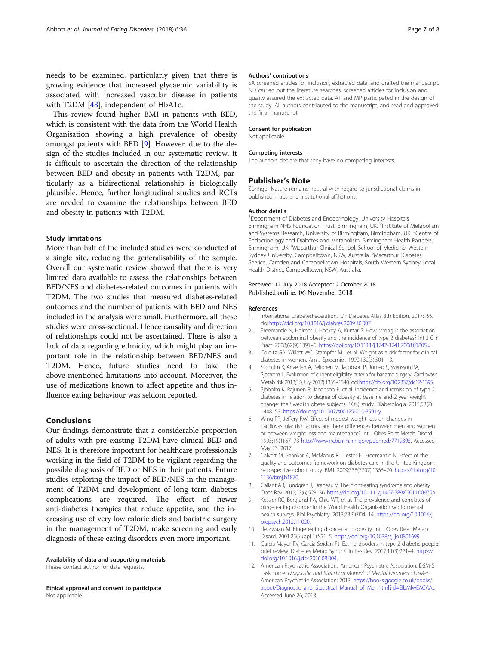<span id="page-6-0"></span>needs to be examined, particularly given that there is growing evidence that increased glycaemic variability is associated with increased vascular disease in patients with T2DM [[43](#page-7-0)], independent of HbA1c.

This review found higher BMI in patients with BED, which is consistent with the data from the World Health Organisation showing a high prevalence of obesity amongst patients with BED [9]. However, due to the design of the studies included in our systematic review, it is difficult to ascertain the direction of the relationship between BED and obesity in patients with T2DM, particularly as a bidirectional relationship is biologically plausible. Hence, further longitudinal studies and RCTs are needed to examine the relationships between BED and obesity in patients with T2DM.

#### Study limitations

More than half of the included studies were conducted at a single site, reducing the generalisability of the sample. Overall our systematic review showed that there is very limited data available to assess the relationships between BED/NES and diabetes-related outcomes in patients with T2DM. The two studies that measured diabetes-related outcomes and the number of patients with BED and NES included in the analysis were small. Furthermore, all these studies were cross-sectional. Hence causality and direction of relationships could not be ascertained. There is also a lack of data regarding ethnicity, which might play an important role in the relationship between BED/NES and T2DM. Hence, future studies need to take the above-mentioned limitations into account. Moreover, the use of medications known to affect appetite and thus influence eating behaviour was seldom reported.

# Conclusions

Our findings demonstrate that a considerable proportion of adults with pre-existing T2DM have clinical BED and NES. It is therefore important for healthcare professionals working in the field of T2DM to be vigilant regarding the possible diagnosis of BED or NES in their patients. Future studies exploring the impact of BED/NES in the management of T2DM and development of long term diabetes complications are required. The effect of newer anti-diabetes therapies that reduce appetite, and the increasing use of very low calorie diets and bariatric surgery in the management of T2DM, make screening and early diagnosis of these eating disorders even more important.

Availability of data and supporting materials Please contact author for data requests.

Ethical approval and consent to participate Not applicable.

#### Authors' contributions

SA screened articles for inclusion, extracted data, and drafted the manuscript. ND carried out the literature searches, screened articles for inclusion and quality assured the extracted data. AT and MP participated in the design of the study. All authors contributed to the manuscript, and read and approved the final manuscript.

#### Consent for publication

Not applicable.

#### Competing interests

The authors declare that they have no competing interests.

#### Publisher's Note

Springer Nature remains neutral with regard to jurisdictional claims in published maps and institutional affiliations.

#### Author details

<sup>1</sup>Department of Diabetes and Endocrinology, University Hospitals Birmingham NHS Foundation Trust, Birmingham, UK.<sup>2</sup> Institute of Metabolism and Systems Research, University of Birmingham, Birmingham, UK. <sup>3</sup>Centre of Endocrinology and Diabetes and Metabolism, Birmingham Health Partners, Birmingham, UK. <sup>4</sup>Macarthur Clinical School, School of Medicine, Western Sydney University, Campbelltown, NSW, Australia. <sup>5</sup>Macarthur Diabetes Service, Camden and Campbelltown Hospitals, South Western Sydney Local Health District, Campbelltown, NSW, Australia.

## Received: 12 July 2018 Accepted: 2 October 2018 Published online: 06 November 2018

#### References

- 1. International DiabetesFederation. IDF Diabetes Atlas 8th Edition. 2017:155. doi[:https://doi.org/10.1016/j.diabres.2009.10.007](https://doi.org/10.1016/j.diabres.2009.10.007)
- 2. Freemantle N, Holmes J, Hockey A, Kumar S. How strong is the association between abdominal obesity and the incidence of type 2 diabetes? Int J Clin Pract. 2008;62(9):1391–6. [https://doi.org/10.1111/j.1742-1241.2008.01805.x.](https://doi.org/10.1111/j.1742-1241.2008.01805.x)
- 3. Colditz GA, Willett WC, Stampfer MJ, et al. Weight as a risk factor for clinical diabetes in women. Am J Epidemiol. 1990;132(3):501–13.
- 4. Sjohlolm K, Anveden A, Peltonen M, Jacobson P, Romeo S, Svensson PA, Sjostrom L. Evaluation of current eligibility criteria for bariatric surgery. Cardiovasc Metab risk 2013;36(July 2012):1335–1340. doi[:https://doi.org/10.2337/dc12-1395.](https://doi.org/10.2337/dc12-1395)
- 5. Sjöholm K, Pajunen P, Jacobson P, et al. Incidence and remission of type 2 diabetes in relation to degree of obesity at baseline and 2 year weight change: the Swedish obese subjects (SOS) study. Diabetologia. 2015;58(7): 1448–53. <https://doi.org/10.1007/s00125-015-3591-y>.
- 6. Wing RR, Jeffery RW. Effect of modest weight loss on changes in cardiovascular risk factors: are there differences between men and women or between weight loss and maintenance? Int J Obes Relat Metab Disord. 1995;19(1):67–73 [http://www.ncbi.nlm.nih.gov/pubmed/7719395.](http://www.ncbi.nlm.nih.gov/pubmed/7719395) Accessed May 23, 2017.
- 7. Calvert M, Shankar A, McManus RJ, Lester H, Freemantle N. Effect of the quality and outcomes framework on diabetes care in the United Kingdom: retrospective cohort study. BMJ. 2009;338(7707):1366–70. [https://doi.org/10.](https://doi.org/10.1136/bmj.b1870) [1136/bmj.b1870.](https://doi.org/10.1136/bmj.b1870)
- 8. Gallant AR, Lundgren J, Drapeau V. The night-eating syndrome and obesity. Obes Rev. 2012;13(6):528–36. [https://doi.org/10.1111/j.1467-789X.2011.00975.x.](https://doi.org/10.1111/j.1467-789X.2011.00975.x)
- 9. Kessler RC, Berglund PA, Chiu WT, et al. The prevalence and correlates of binge eating disorder in the World Health Organization world mental health surveys. Biol Psychiatry. 2013;73(9):904–14. [https://doi.org/10.1016/j.](https://doi.org/10.1016/j.biopsych.2012.11.020) [biopsych.2012.11.020.](https://doi.org/10.1016/j.biopsych.2012.11.020)
- 10. de Zwaan M. Binge eating disorder and obesity. Int J Obes Relat Metab Disord. 2001;25(Suppl 1):S51–5. <https://doi.org/10.1038/sj.ijo.0801699>.
- 11. García-Mayor RV, García-Soidán FJ. Eating disoders in type 2 diabetic people: brief review. Diabetes Metab Syndr Clin Res Rev. 2017;11(3):221–4. [https://](https://doi.org/10.1016/j.dsx.2016.08.004) [doi.org/10.1016/j.dsx.2016.08.004.](https://doi.org/10.1016/j.dsx.2016.08.004)
- 12. American Psychiatric Association., American Psychiatric Association. DSM-5 Task Force. Diagnostic and Statistical Manual of Mental Disorders : DSM-5. American Psychiatric Association; 2013. [https://books.google.co.uk/books/](https://books.google.co.uk/books/about/Diagnostic_and_Statistical_Manual_of_Men.html?id=EIbMlwEACAAJ) [about/Diagnostic\\_and\\_Statistical\\_Manual\\_of\\_Men.html?id=EIbMlwEACAAJ.](https://books.google.co.uk/books/about/Diagnostic_and_Statistical_Manual_of_Men.html?id=EIbMlwEACAAJ) Accessed June 26, 2018.